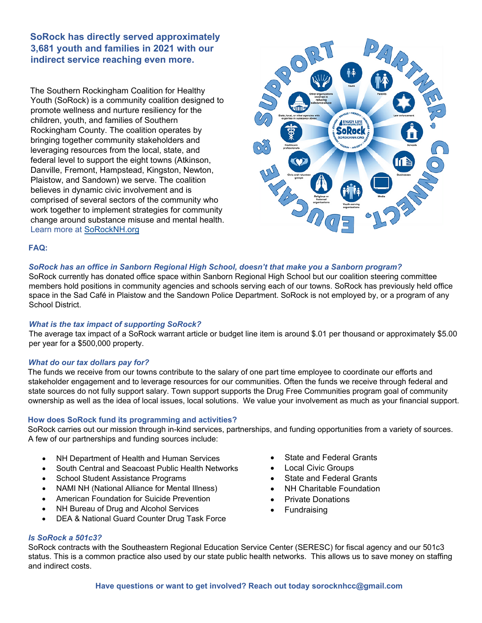**SoRock has directly served approximately 3,681 youth and families in 2021 with our indirect service reaching even more.** 

The Southern Rockingham Coalition for Healthy Youth (SoRock) is a community coalition designed to promote wellness and nurture resiliency for the children, youth, and families of Southern Rockingham County. The coalition operates by bringing together community stakeholders and leveraging resources from the local, state, and federal level to support the eight towns (Atkinson, Danville, Fremont, Hampstead, Kingston, Newton, Plaistow, and Sandown) we serve. The coalition believes in dynamic civic involvement and is comprised of several sectors of the community who work together to implement strategies for community change around substance misuse and mental health. Learn more at SoRockNH.org



### **FAQ:**

### *SoRock has an office in Sanborn Regional High School, doesn't that make you a Sanborn program?*

SoRock currently has donated office space within Sanborn Regional High School but our coalition steering committee members hold positions in community agencies and schools serving each of our towns. SoRock has previously held office space in the Sad Café in Plaistow and the Sandown Police Department. SoRock is not employed by, or a program of any School District.

#### *What is the tax impact of supporting SoRock?*

The average tax impact of a SoRock warrant article or budget line item is around \$.01 per thousand or approximately \$5.00 per year for a \$500,000 property.

#### *What do our tax dollars pay for?*

The funds we receive from our towns contribute to the salary of one part time employee to coordinate our efforts and stakeholder engagement and to leverage resources for our communities. Often the funds we receive through federal and state sources do not fully support salary. Town support supports the Drug Free Communities program goal of community ownership as well as the idea of local issues, local solutions. We value your involvement as much as your financial support.

#### **How does SoRock fund its programming and activities?**

SoRock carries out our mission through in-kind services, partnerships, and funding opportunities from a variety of sources. A few of our partnerships and funding sources include:

- NH Department of Health and Human Services
- South Central and Seacoast Public Health Networks
- School Student Assistance Programs
- NAMI NH (National Alliance for Mental Illness)
- American Foundation for Suicide Prevention
- NH Bureau of Drug and Alcohol Services
- DEA & National Guard Counter Drug Task Force
- State and Federal Grants
- **Local Civic Groups**
- State and Federal Grants
- NH Charitable Foundation
- Private Donations
- **Fundraising**

#### *Is SoRock a 501c3?*

SoRock contracts with the Southeastern Regional Education Service Center (SERESC) for fiscal agency and our 501c3 status. This is a common practice also used by our state public health networks. This allows us to save money on staffing and indirect costs.